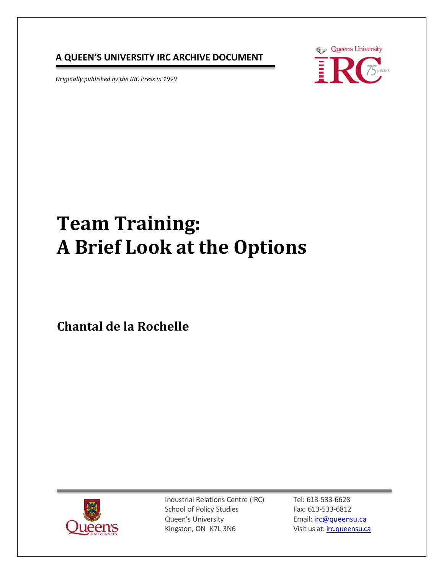#### **A QUEEN'S UNIVERSITY IRC ARCHIVE DOCUMENT**

*Originally published by the IRC Press in 1999* 



# **Team Training: A Brief Look at the Options**

**Chantal de la Rochelle**



Industrial Relations Centre (IRC) School of Policy Studies Queen's University Kingston, ON K7L 3N6

Tel: 613-533-6628 Fax: 613-533-6812 Email: [irc@queensu.ca](mailto:irc@queensu.ca) Visit us at: *irc.queensu.ca*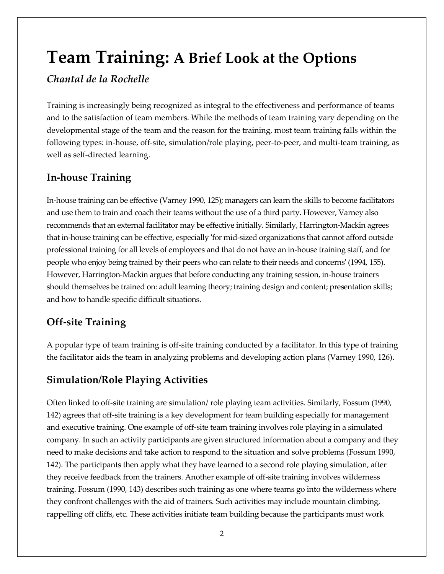# **Team Training: A Brief Look at the Options**

#### *Chantal de la Rochelle*

Training is increasingly being recognized as integral to the effectiveness and performance of teams and to the satisfaction of team members. While the methods of team training vary depending on the developmental stage of the team and the reason for the training, most team training falls within the following types: in-house, off-site, simulation/role playing, peer-to-peer, and multi-team training, as well as self-directed learning.

# **In-house Training**

In-house training can be effective (Varney 1990, 125); managers can learn the skills to become facilitators and use them to train and coach their teams without the use of a third party. However, Varney also recommends that an external facilitator may be effective initially. Similarly, Harrington-Mackin agrees that in-house training can be effective, especially 'for mid-sized organizations that cannot afford outside professional training for all levels of employees and that do not have an in-house training staff, and for people who enjoy being trained by their peers who can relate to their needs and concerns' (1994, 155). However, Harrington-Mackin argues that before conducting any training session, in-house trainers should themselves be trained on: adult learning theory; training design and content; presentation skills; and how to handle specific difficult situations.

# **Off-site Training**

A popular type of team training is off-site training conducted by a facilitator. In this type of training the facilitator aids the team in analyzing problems and developing action plans (Varney 1990, 126).

# **Simulation/Role Playing Activities**

Often linked to off-site training are simulation/ role playing team activities. Similarly, Fossum (1990, 142) agrees that off-site training is a key development for team building especially for management and executive training. One example of off-site team training involves role playing in a simulated company. In such an activity participants are given structured information about a company and they need to make decisions and take action to respond to the situation and solve problems (Fossum 1990, 142). The participants then apply what they have learned to a second role playing simulation, after they receive feedback from the trainers. Another example of off-site training involves wilderness training. Fossum (1990, 143) describes such training as one where teams go into the wilderness where they confront challenges with the aid of trainers. Such activities may include mountain climbing, rappelling off cliffs, etc. These activities initiate team building because the participants must work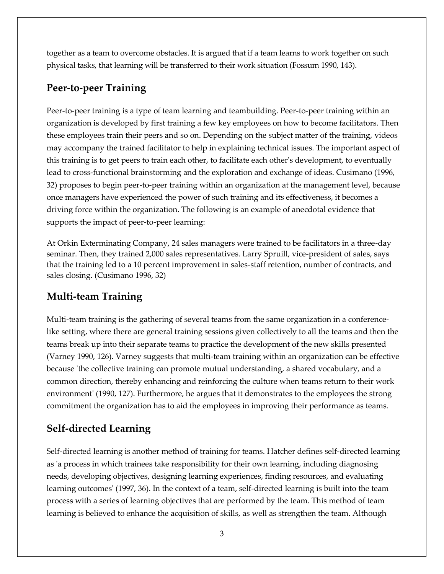together as a team to overcome obstacles. It is argued that if a team learns to work together on such physical tasks, that learning will be transferred to their work situation (Fossum 1990, 143).

#### **Peer-to-peer Training**

Peer-to-peer training is a type of team learning and teambuilding. Peer-to-peer training within an organization is developed by first training a few key employees on how to become facilitators. Then these employees train their peers and so on. Depending on the subject matter of the training, videos may accompany the trained facilitator to help in explaining technical issues. The important aspect of this training is to get peers to train each other, to facilitate each other's development, to eventually lead to cross-functional brainstorming and the exploration and exchange of ideas. Cusimano (1996, 32) proposes to begin peer-to-peer training within an organization at the management level, because once managers have experienced the power of such training and its effectiveness, it becomes a driving force within the organization. The following is an example of anecdotal evidence that supports the impact of peer-to-peer learning:

At Orkin Exterminating Company, 24 sales managers were trained to be facilitators in a three-day seminar. Then, they trained 2,000 sales representatives. Larry Spruill, vice-president of sales, says that the training led to a 10 percent improvement in sales-staff retention, number of contracts, and sales closing. (Cusimano 1996, 32)

### **Multi-team Training**

Multi-team training is the gathering of several teams from the same organization in a conferencelike setting, where there are general training sessions given collectively to all the teams and then the teams break up into their separate teams to practice the development of the new skills presented (Varney 1990, 126). Varney suggests that multi-team training within an organization can be effective because 'the collective training can promote mutual understanding, a shared vocabulary, and a common direction, thereby enhancing and reinforcing the culture when teams return to their work environment' (1990, 127). Furthermore, he argues that it demonstrates to the employees the strong commitment the organization has to aid the employees in improving their performance as teams.

# **Self-directed Learning**

Self-directed learning is another method of training for teams. Hatcher defines self-directed learning as 'a process in which trainees take responsibility for their own learning, including diagnosing needs, developing objectives, designing learning experiences, finding resources, and evaluating learning outcomes' (1997, 36). In the context of a team, self-directed learning is built into the team process with a series of learning objectives that are performed by the team. This method of team learning is believed to enhance the acquisition of skills, as well as strengthen the team. Although